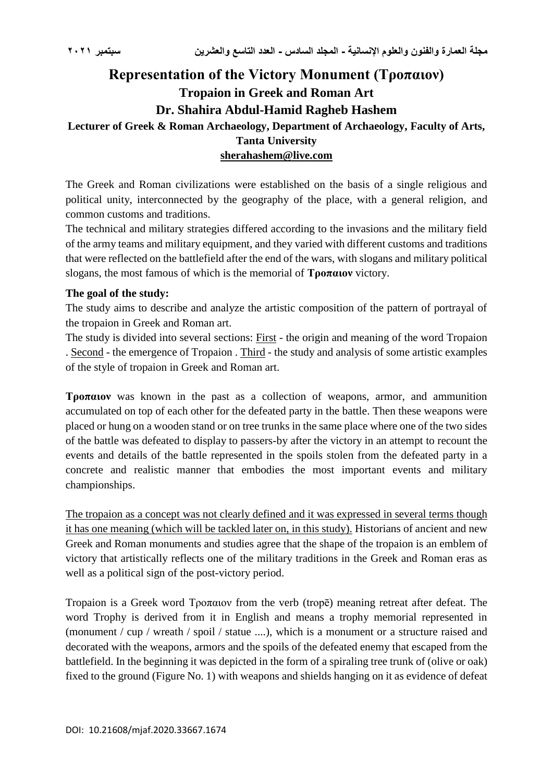# **Representation of the Victory Monument (Τροπαιον) Tropaion in Greek and Roman Art Dr. Shahira Abdul-Hamid Ragheb Hashem Lecturer of Greek & Roman Archaeology, Department of Archaeology, Faculty of Arts, Tanta University [sherahashem@live.com](mailto:sherahashem@live.com)**

The Greek and Roman civilizations were established on the basis of a single religious and political unity, interconnected by the geography of the place, with a general religion, and common customs and traditions.

The technical and military strategies differed according to the invasions and the military field of the army teams and military equipment, and they varied with different customs and traditions that were reflected on the battlefield after the end of the wars, with slogans and military political slogans, the most famous of which is the memorial of **Τροπαιον** victory.

### **The goal of the study:**

The study aims to describe and analyze the artistic composition of the pattern of portrayal of the tropaion in Greek and Roman art.

The study is divided into several sections: First - the origin and meaning of the word Tropaion . Second - the emergence of Tropaion . Third - the study and analysis of some artistic examples of the style of tropaion in Greek and Roman art.

**Τροπαιον** was known in the past as a collection of weapons, armor, and ammunition accumulated on top of each other for the defeated party in the battle. Then these weapons were placed or hung on a wooden stand or on tree trunks in the same place where one of the two sides of the battle was defeated to display to passers-by after the victory in an attempt to recount the events and details of the battle represented in the spoils stolen from the defeated party in a concrete and realistic manner that embodies the most important events and military championships.

The tropaion as a concept was not clearly defined and it was expressed in several terms though it has one meaning (which will be tackled later on, in this study). Historians of ancient and new Greek and Roman monuments and studies agree that the shape of the tropaion is an emblem of victory that artistically reflects one of the military traditions in the Greek and Roman eras as well as a political sign of the post-victory period.

Tropaion is a Greek word Τροπαιον from the verb (tropē) meaning retreat after defeat. The word Trophy is derived from it in English and means a trophy memorial represented in (monument / cup / wreath / spoil / statue ....), which is a monument or a structure raised and decorated with the weapons, armors and the spoils of the defeated enemy that escaped from the battlefield. In the beginning it was depicted in the form of a spiraling tree trunk of (olive or oak) fixed to the ground (Figure No. 1) with weapons and shields hanging on it as evidence of defeat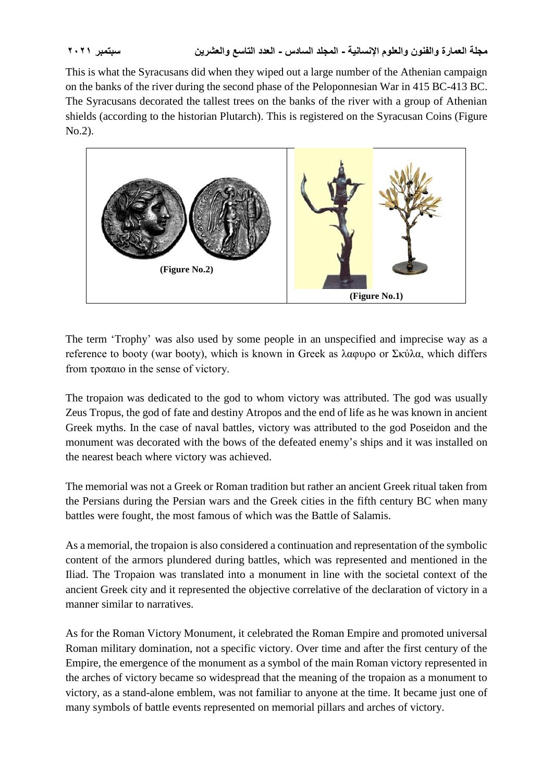This is what the Syracusans did when they wiped out a large number of the Athenian campaign on the banks of the river during the second phase of the Peloponnesian War in 415 BC-413 BC. The Syracusans decorated the tallest trees on the banks of the river with a group of Athenian shields (according to the historian Plutarch). This is registered on the Syracusan Coins (Figure No.2).



The term 'Trophy' was also used by some people in an unspecified and imprecise way as a reference to booty (war booty), which is known in Greek as λαφυρο or Σκύλα, which differs from τροπαιο in the sense of victory.

The tropaion was dedicated to the god to whom victory was attributed. The god was usually Zeus Tropus, the god of fate and destiny Atropos and the end of life as he was known in ancient Greek myths. In the case of naval battles, victory was attributed to the god Poseidon and the monument was decorated with the bows of the defeated enemy's ships and it was installed on the nearest beach where victory was achieved.

The memorial was not a Greek or Roman tradition but rather an ancient Greek ritual taken from the Persians during the Persian wars and the Greek cities in the fifth century BC when many battles were fought, the most famous of which was the Battle of Salamis.

As a memorial, the tropaion is also considered a continuation and representation of the symbolic content of the armors plundered during battles, which was represented and mentioned in the Iliad. The Tropaion was translated into a monument in line with the societal context of the ancient Greek city and it represented the objective correlative of the declaration of victory in a manner similar to narratives.

As for the Roman Victory Monument, it celebrated the Roman Empire and promoted universal Roman military domination, not a specific victory. Over time and after the first century of the Empire, the emergence of the monument as a symbol of the main Roman victory represented in the arches of victory became so widespread that the meaning of the tropaion as a monument to victory, as a stand-alone emblem, was not familiar to anyone at the time. It became just one of many symbols of battle events represented on memorial pillars and arches of victory.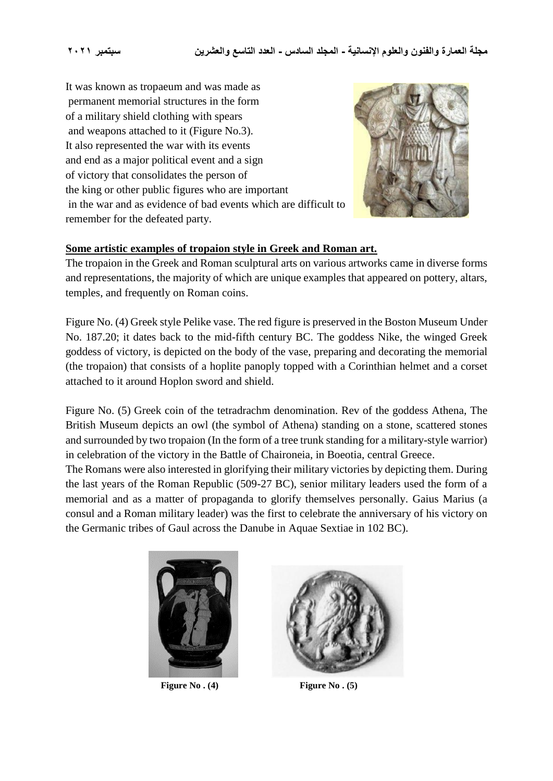It was known as tropaeum and was made as permanent memorial structures in the form of a military shield clothing with spears and weapons attached to it (Figure No.3). It also represented the war with its events and end as a major political event and a sign of victory that consolidates the person of the king or other public figures who are important in the war and as evidence of bad events which are difficult to remember for the defeated party.



#### **Some artistic examples of tropaion style in Greek and Roman art.**

The tropaion in the Greek and Roman sculptural arts on various artworks came in diverse forms and representations, the majority of which are unique examples that appeared on pottery, altars, temples, and frequently on Roman coins.

Figure No. (4) Greek style Pelike vase. The red figure is preserved in the Boston Museum Under No. 187.20; it dates back to the mid-fifth century BC. The goddess Nike, the winged Greek goddess of victory, is depicted on the body of the vase, preparing and decorating the memorial (the tropaion) that consists of a hoplite panoply topped with a Corinthian helmet and a corset attached to it around Hoplon sword and shield.

Figure No. (5) Greek coin of the tetradrachm denomination. Rev of the goddess Athena, The British Museum depicts an owl (the symbol of Athena) standing on a stone, scattered stones and surrounded by two tropaion (In the form of a tree trunk standing for a military-style warrior) in celebration of the victory in the Battle of Chaironeia, in Boeotia, central Greece.

The Romans were also interested in glorifying their military victories by depicting them. During the last years of the Roman Republic (509-27 BC), senior military leaders used the form of a memorial and as a matter of propaganda to glorify themselves personally. Gaius Marius (a consul and a Roman military leader) was the first to celebrate the anniversary of his victory on the Germanic tribes of Gaul across the Danube in Aquae Sextiae in 102 BC).





Figure No. (4) Figure No. (5)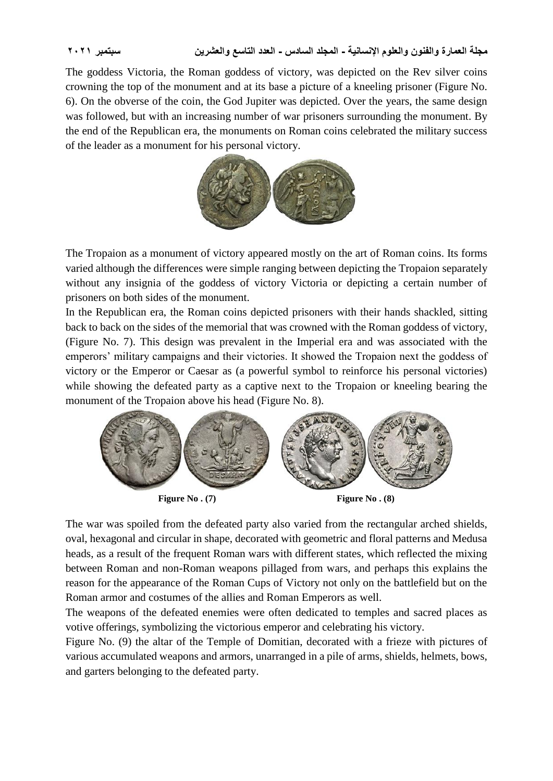The goddess Victoria, the Roman goddess of victory, was depicted on the Rev silver coins crowning the top of the monument and at its base a picture of a kneeling prisoner (Figure No. 6). On the obverse of the coin, the God Jupiter was depicted. Over the years, the same design was followed, but with an increasing number of war prisoners surrounding the monument. By the end of the Republican era, the monuments on Roman coins celebrated the military success of the leader as a monument for his personal victory.



The Tropaion as a monument of victory appeared mostly on the art of Roman coins. Its forms varied although the differences were simple ranging between depicting the Tropaion separately without any insignia of the goddess of victory Victoria or depicting a certain number of prisoners on both sides of the monument.

In the Republican era, the Roman coins depicted prisoners with their hands shackled, sitting back to back on the sides of the memorial that was crowned with the Roman goddess of victory, (Figure No. 7). This design was prevalent in the Imperial era and was associated with the emperors' military campaigns and their victories. It showed the Tropaion next the goddess of victory or the Emperor or Caesar as (a powerful symbol to reinforce his personal victories) while showing the defeated party as a captive next to the Tropaion or kneeling bearing the monument of the Tropaion above his head (Figure No. 8).



Figure No. (7) **Figure No. (8)** 

The war was spoiled from the defeated party also varied from the rectangular arched shields, oval, hexagonal and circular in shape, decorated with geometric and floral patterns and Medusa heads, as a result of the frequent Roman wars with different states, which reflected the mixing between Roman and non-Roman weapons pillaged from wars, and perhaps this explains the reason for the appearance of the Roman Cups of Victory not only on the battlefield but on the Roman armor and costumes of the allies and Roman Emperors as well.

The weapons of the defeated enemies were often dedicated to temples and sacred places as votive offerings, symbolizing the victorious emperor and celebrating his victory.

Figure No. (9) the altar of the Temple of Domitian, decorated with a frieze with pictures of various accumulated weapons and armors, unarranged in a pile of arms, shields, helmets, bows, and garters belonging to the defeated party.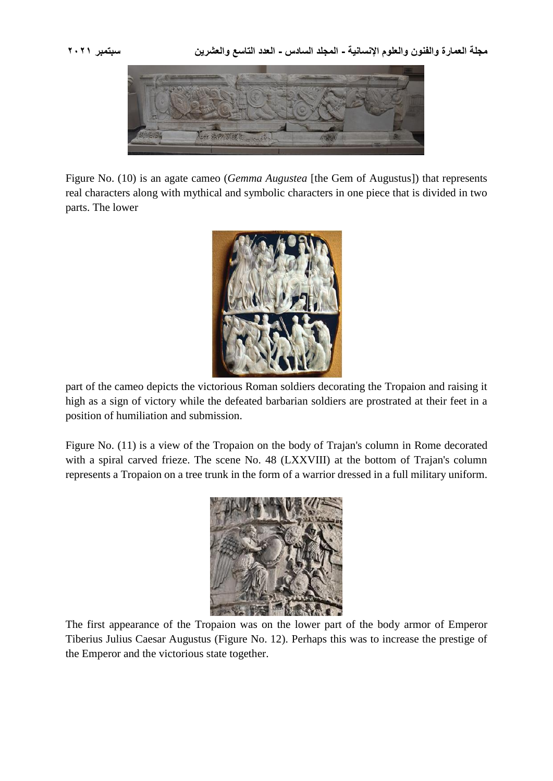

Figure No. (10) is an agate cameo (*Gemma Augustea* [the Gem of Augustus]) that represents real characters along with mythical and symbolic characters in one piece that is divided in two parts. The lower



part of the cameo depicts the victorious Roman soldiers decorating the Tropaion and raising it high as a sign of victory while the defeated barbarian soldiers are prostrated at their feet in a position of humiliation and submission.

Figure No. (11) is a view of the Tropaion on the body of Trajan's column in Rome decorated with a spiral carved frieze. The scene No. 48 (LXXVIII) at the bottom of Trajan's column represents a Tropaion on a tree trunk in the form of a warrior dressed in a full military uniform.



The first appearance of the Tropaion was on the lower part of the body armor of Emperor Tiberius Julius Caesar Augustus (Figure No. 12). Perhaps this was to increase the prestige of the Emperor and the victorious state together.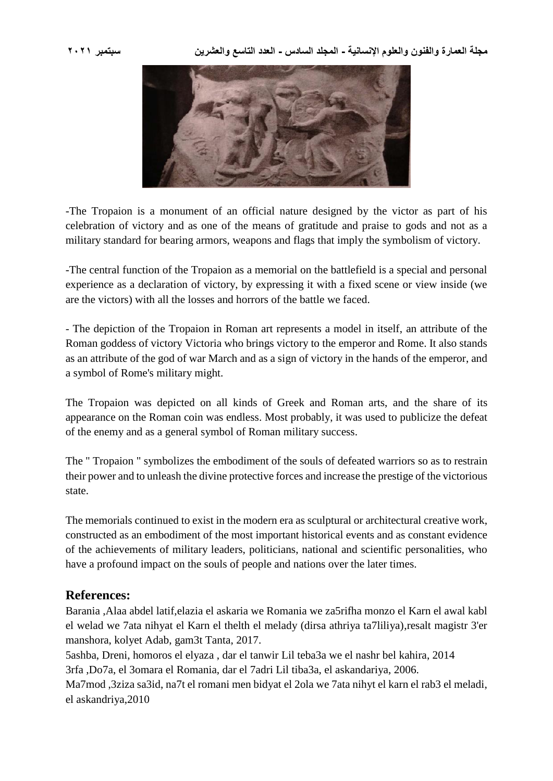

-The Tropaion is a monument of an official nature designed by the victor as part of his celebration of victory and as one of the means of gratitude and praise to gods and not as a military standard for bearing armors, weapons and flags that imply the symbolism of victory.

-The central function of the Tropaion as a memorial on the battlefield is a special and personal experience as a declaration of victory, by expressing it with a fixed scene or view inside (we are the victors) with all the losses and horrors of the battle we faced.

- The depiction of the Tropaion in Roman art represents a model in itself, an attribute of the Roman goddess of victory Victoria who brings victory to the emperor and Rome. It also stands as an attribute of the god of war March and as a sign of victory in the hands of the emperor, and a symbol of Rome's military might.

The Tropaion was depicted on all kinds of Greek and Roman arts, and the share of its appearance on the Roman coin was endless. Most probably, it was used to publicize the defeat of the enemy and as a general symbol of Roman military success.

The " Tropaion " symbolizes the embodiment of the souls of defeated warriors so as to restrain their power and to unleash the divine protective forces and increase the prestige of the victorious state.

The memorials continued to exist in the modern era as sculptural or architectural creative work, constructed as an embodiment of the most important historical events and as constant evidence of the achievements of military leaders, politicians, national and scientific personalities, who have a profound impact on the souls of people and nations over the later times.

## **References:**

Barania ,Alaa abdel latif,elazia el askaria we Romania we za5rifha monzo el Karn el awal kabl el welad we 7ata nihyat el Karn el thelth el melady (dirsa athriya ta7liliya),resalt magistr 3'er manshora, kolyet Adab, gam3t Tanta, 2017.

5ashba, Dreni, homoros el elyaza , dar el tanwir Lil teba3a we el nashr bel kahira, 2014 3rfa ,Do7a, el 3omara el Romania, dar el 7adri Lil tiba3a, el askandariya, 2006. Ma7mod ,3ziza sa3id, na7t el romani men bidyat el 2ola we 7ata nihyt el karn el rab3 el meladi,

el askandriya,2010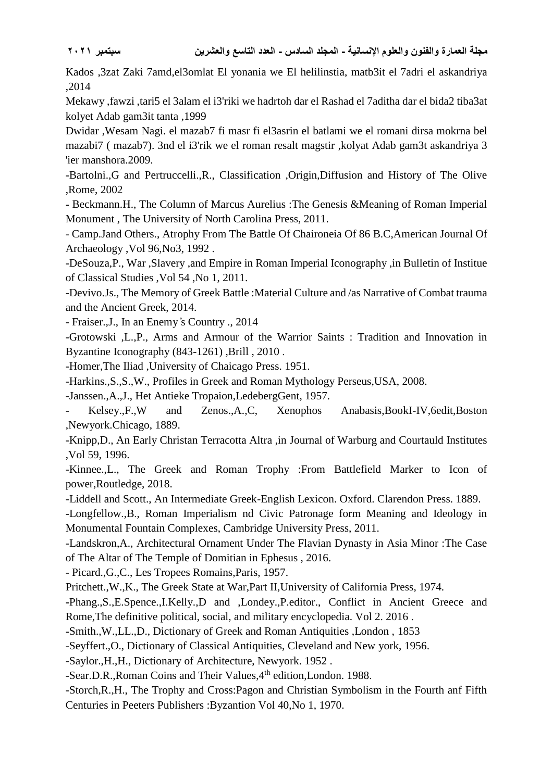Kados ,3zat Zaki 7amd,el3omlat El yonania we El helilinstia, matb3it el 7adri el askandriya ,2014

Mekawy ,fawzi ,tari5 el 3alam el i3'riki we hadrtoh dar el Rashad el 7aditha dar el bida2 tiba3at kolyet Adab gam3it tanta ,1999

Dwidar ,Wesam Nagi. el mazab7 fi masr fi el3asrin el batlami we el romani dirsa mokrna bel mazabi7 ( mazab7). 3nd el i3'rik we el roman resalt magstir ,kolyat Adab gam3t askandriya 3 'ier manshora.2009.

-Bartolni.,G and Pertruccelli.,R., Classification ,Origin,Diffusion and History of The Olive ,Rome, 2002

- Beckmann.H., The Column of Marcus Aurelius :The Genesis &Meaning of Roman Imperial Monument , The University of North Carolina Press, 2011.

- Camp.Jand Others., Atrophy From The Battle Of Chaironeia Of 86 B.C,American Journal Of Archaeology ,Vol 96,No3, 1992 .

-DeSouza,P., War ,Slavery ,and Empire in Roman Imperial Iconography ,in Bulletin of Institue of Classical Studies ,Vol 54 ,No 1, 2011.

-Devivo.Js., The Memory of Greek Battle :Material Culture and /as Narrative of Combat trauma and the Ancient Greek, 2014.

- Fraiser.,J., In an Enemy ̓s Country ., 2014

-Grotowski ,L.,P., Arms and Armour of the Warrior Saints : Tradition and Innovation in Byzantine Iconography (843-1261) ,Brill , 2010 .

-Homer,The Iliad ,University of Chaicago Press. 1951.

-Harkins.,S.,S.,W., Profiles in Greek and Roman Mythology Perseus,USA, 2008.

-Janssen.,A.,J., Het Antieke Tropaion,LedebergGent, 1957.

- Kelsey.,F.,W and Zenos.,A.,C, Xenophos Anabasis,BookI-IV,6edit,Boston ,Newyork.Chicago, 1889.

-Knipp,D., An Early Christan Terracotta Altra ,in Journal of Warburg and Courtauld Institutes ,Vol 59, 1996.

*-*Kinnee.,L., The Greek and Roman Trophy :From Battlefield Marker to Icon of power,Routledge, 2018.

-Liddell and Scott., An Intermediate Greek-English Lexicon. Oxford. Clarendon Press. 1889.

-Longfellow.,B., Roman Imperialism nd Civic Patronage form Meaning and Ideology in Monumental Fountain Complexes, Cambridge University Press, 2011.

-Landskron,A., Architectural Ornament Under The Flavian Dynasty in Asia Minor :The Case of The Altar of The Temple of Domitian in Ephesus , 2016.

- Picard.,G.,C., Les Tropees Romains,Paris, 1957.

Pritchett.,W.,K., The Greek State at War,Part II,University of California Press, 1974.

**-**Phang.,S.,E.Spence.,I.Kelly.,D and ,Londey.,P.editor., Conflict in Ancient Greece and Rome,The definitive political, social, and military encyclopedia. Vol 2. 2016 .

-Smith.,W.,LL.,D., Dictionary of Greek and Roman Antiquities ,London , 1853

-Seyffert.,O., Dictionary of Classical Antiquities, Cleveland and New york, 1956.

-Saylor.,H.,H., Dictionary of Architecture, Newyork. 1952 .

-Sear.D.R.,Roman Coins and Their Values,4<sup>th</sup> edition,London. 1988.

-Storch,R.,H., The Trophy and Cross:Pagon and Christian Symbolism in the Fourth anf Fifth Centuries in Peeters Publishers :Byzantion Vol 40,No 1, 1970.